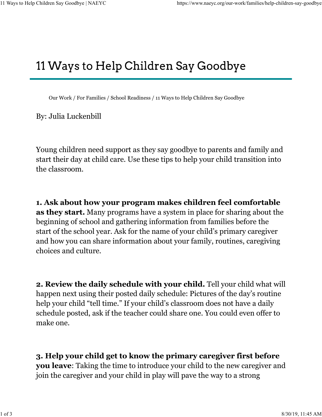## 11 Ways to Help Children Say Goodbye

Our Work / For Families / School Readiness / 11 Ways to Help Children Say Goodbye

By: Julia Luckenbill

Young children need support as they say goodbye to parents and family and start their day at child care. Use these tips to help your child transition into the classroom.

1. Ask about how your program makes children feel comfortable as they start. Many programs have a system in place for sharing about the beginning of school and gathering information from families before the start of the school year. Ask for the name of your child's primary caregiver and how you can share information about your family, routines, caregiving choices and culture.

2. Review the daily schedule with your child. Tell your child what will happen next using their posted daily schedule: Pictures of the day's routine help your child "tell time." If your child's classroom does not have a daily schedule posted, ask if the teacher could share one. You could even offer to make one.

3. Help your child get to know the primary caregiver first before you leave: Taking the time to introduce your child to the new caregiver and join the caregiver and your child in play will pave the way to a strong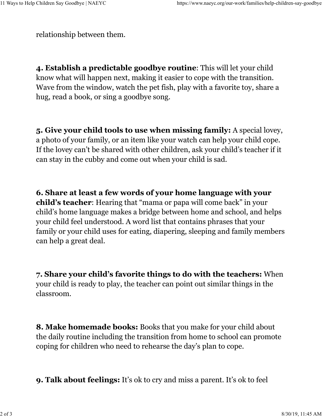relationship between them.

4. Establish a predictable goodbye routine: This will let your child know what will happen next, making it easier to cope with the transition. Wave from the window, watch the pet fish, play with a favorite toy, share a hug, read a book, or sing a goodbye song.

5. Give your child tools to use when missing family: A special lovey, a photo of your family, or an item like your watch can help your child cope. If the lovey can't be shared with other children, ask your child's teacher if it can stay in the cubby and come out when your child is sad.

6. Share at least a few words of your home language with your child's teacher: Hearing that "mama or papa will come back" in your child's home language makes a bridge between home and school, and helps your child feel understood. A word list that contains phrases that your family or your child uses for eating, diapering, sleeping and family members can help a great deal.

7. Share your child's favorite things to do with the teachers: When your child is ready to play, the teacher can point out similar things in the classroom.

8. Make homemade books: Books that you make for your child about the daily routine including the transition from home to school can promote coping for children who need to rehearse the day's plan to cope.

9. Talk about feelings: It's ok to cry and miss a parent. It's ok to feel